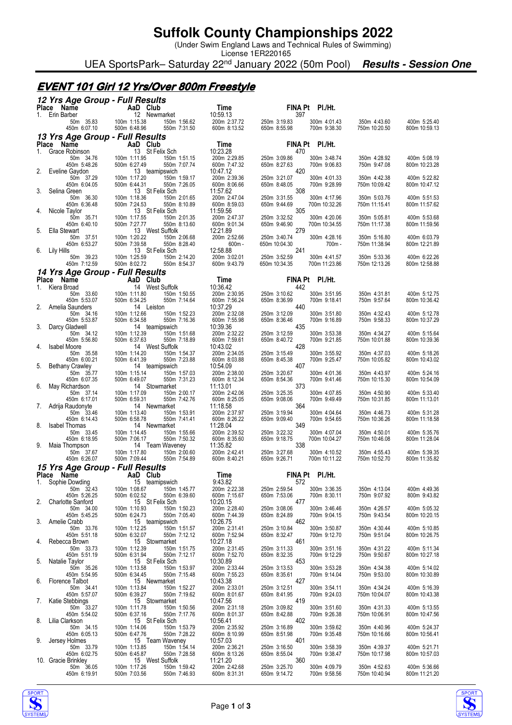## **Suffolk County Championships 2022**

(Under Swim England Laws and Technical Rules of Swimming)

License 1ER220165 UEA SportsPark– Saturday 22<sup>nd</sup> January 2022 (50m Pool) **Results - Session One** 

### **EVENT 101 Girl 12 Yrs/Over 800m Freestyle**

|  |  | 12 Yrs Age Group - Full Results |
|--|--|---------------------------------|
|  |  |                                 |

| iz na Ago droup - run nosuma<br>Place Name                   | AaD Club                                                                        | Time                                     | FINA Pt PI./Ht.                                                      |                                        |                               |
|--------------------------------------------------------------|---------------------------------------------------------------------------------|------------------------------------------|----------------------------------------------------------------------|----------------------------------------|-------------------------------|
| 1. Erin Barber<br>50m 35.83<br>450m 6:07.10                  | 12 Newmarket<br>100m 1:15.38<br>150m 1:56.62                                    | 10:59.13<br>200m 2:37.72                 | 397<br>250m 3:19.83<br>300m 4:01.43<br>700m 9:38.30                  | 350m 4:43.60<br>750m 10:20.50          | 400m 5:25.40                  |
| 13 Yrs Age Group - Full Results                              | 500m 6:48.96<br>550m 7:31.50                                                    | 600m 8:13.52                             | 650m 8:55.98                                                         |                                        | 800m 10:59.13                 |
| Place Name                                                   | AaD Club                                                                        | Time                                     | FINA Pt PI./Ht.                                                      |                                        |                               |
| Grace Robinson<br>1.<br>50m 34.76<br>450m 5:48.26            | 13 St Felix Sch<br>100m 1:11.95<br>150m 1:51.15<br>500m 6:27.49<br>550m 7:07.74 | 10:23.28<br>200m 2:29.85<br>600m 7:47.32 | 470<br>250m 3:09.86<br>300m 3:48.74<br>650m 8:27.63<br>700m 9:06.83  | 350m 4:28.92<br>750m 9:47.08           | 400m 5:08.19<br>800m 10:23.28 |
| 2.<br>Eveline Gaydon<br>50m 37.29<br>450m 6:04.05            | 13 teamipswich<br>100m 1:17.20<br>150m 1:59.17<br>500m 6:44.31<br>550m 7:26.05  | 10:47.12<br>200m 2:39.36<br>600m 8:06.66 | 420<br>250m 3:21.07<br>300m 4:01.33<br>650m 8:48.05<br>700m 9:28.99  | 350m 4:42.38<br>750m 10:09.42          | 400m 5:22.82<br>800m 10:47.12 |
| 3.<br>Selina Green<br>50m 36.30<br>450m 6:36.48              | 13 St Felix Sch<br>100m 1:18.36<br>150m 2:01.65<br>500m 7:24.53<br>550m 8:10.89 | 11:57.62<br>200m 2:47.04<br>600m 8:59.03 | 308<br>300m 4:17.96<br>250m 3:31.55<br>650m 9:44.69<br>700m 10:32.26 | 350m 5:03.76<br>750m 11:15.41          | 400m 5:51.53<br>800m 11:57.62 |
| Nicole Tavlor<br>4.<br>50m 35.71                             | 13 St Felix Sch<br>100m 1:17.55<br>150m 2:01.35                                 | 11:59.56<br>200m 2:47.37                 | 305<br>250m 3:32.52<br>300m 4:20.06                                  | 350m 5:05.81                           | 400m 5:53.68                  |
| 450m 6:40.10<br>Ella Stewart<br>5.<br>50m 37.51              | 500m 7:27.77<br>550m 8:13.60<br>13 West Suffolk<br>100m 1:20.22<br>150m 2:06.68 | 600m 9:01.34<br>12:21.89<br>200m 2:52.66 | 650m 9:46.90<br>700m 10:34.55<br>279<br>300m 4:28.16<br>250m 3:40.74 | 750m 11:17.38<br>350m 5:16.80          | 800m 11:59.56<br>400m 6:03.79 |
| 450m 6:53.27<br>Lily Hills<br>6.                             | 500m 7:39.58<br>550m 8:28.40<br>13 St Felix Sch                                 | $600m -$<br>12:58.88                     | 650m 10:04.30<br>700m-<br>241                                        | 750m 11:38.94                          | 800m 12:21.89                 |
| 50m 39.23<br>450m 7:12.59<br>14 Yrs Age Group - Full Results | 100m 1:25.59<br>150m 2:14.20<br>500m 8:02.72<br>550m 8:54.37                    | 200m 3:02.01<br>600m 9:43.79             | 250m 3:52.59<br>300m 4:41.57<br>650m 10:34.35<br>700m 11:23.86       | 350m 5:33.36<br>750m 12:13.26          | 400m 6:22.26<br>800m 12:58.88 |
| Place Name                                                   | AaD Club                                                                        | Time                                     | FINA Pt PI./Ht.                                                      |                                        |                               |
| Kiera Broad<br>1.<br>50m 33.60                               | 14 West Suffolk<br>100m 1:11.80<br>150m 1:50.55                                 | 10:36.42<br>200m 2:30.95                 | 442<br>250m 3:10.62<br>300m 3:51.95                                  | 350m 4:31.81                           | 400m 5:12.75                  |
| 450m 5:53.07<br>2.<br>Amelia Saunders                        | 500m 6:34.25<br>550m 7:14.64<br>14 Leiston                                      | 600m 7:56.24<br>10:37.29                 | 650m 8:36.99<br>700m 9:18.41<br>440                                  | 750m 9:57.64                           | 800m 10:36.42                 |
| 50m 34.16<br>450m 5:53.87<br>Darcy Gladwell<br>3.            | 100m 1:12.66<br>150m 1:52.23<br>500m 6:34.58<br>550m 7:16.36<br>14 teamipswich  | 200m 2:32.08<br>600m 7:55.98<br>10:39.36 | 250m 3:12.09<br>300m 3:51.80<br>650m 8:36.46<br>700m 9:16.89<br>435  | 350m 4:32.43<br>750m 9:58.33           | 400m 5:12.78<br>800m 10:37.29 |
| 50m 34.12<br>450m 5:56.80<br><b>Isabel Moore</b><br>4.       | 100m 1:12.39<br>150m 1:51.68<br>500m 6:37.63<br>550m 7:18.89<br>14 West Suffolk | 200m 2:32.22<br>600m 7:59.61<br>10:43.02 | 250m 3:12.59<br>300m 3:53.38<br>650m 8:40.72<br>700m 9:21.85<br>428  | 350m 4:34.27<br>750m 10:01.88          | 400m 5:15.64<br>800m 10:39.36 |
| 50m 35.58<br>450m 6:00.21                                    | 100m 1:14.20<br>150m 1:54.37<br>500m 6:41.39<br>550m 7:23.88                    | 200m 2:34.05<br>600m 8:03.88             | 250m 3:15.49<br>300m 3:55.92<br>650m 8:45.38<br>700m 9:25.47         | 350m 4:37.03<br>750m 10:05.82          | 400m 5:18.26<br>800m 10:43.02 |
| 5.<br><b>Bethany Crawley</b><br>50m 35.77<br>450m 6:07.35    | 14 teamipswich<br>100m 1:15.14<br>150m 1:57.03<br>500m 6:49.07<br>550m 7:31.23  | 10:54.09<br>200m 2:38.00<br>600m 8:12.34 | 407<br>250m 3:20.67<br>300m 4:01.36<br>650m 8:54.36<br>700m 9:41.46  | 350m 4:43.97<br>750m 10:15.30          | 400m 5:24.16<br>800m 10:54.09 |
| May Richardson<br>6.<br>50m 37.14<br>450m 6:17.01            | 14 Stowmarket<br>100m 1:17.09<br>150m 2:00.17<br>500m 6:59.31<br>550m 7:42.76   | 11:13.01<br>200m 2:42.06<br>600m 8:25.05 | 373<br>250m 3:25.35<br>300m 4:07.85<br>650m 9:08.06<br>700m 9:49.49  | 350m 4:50.90<br>750m 10:31.85          | 400m 5:33.40<br>800m 11:13.01 |
| Adrija Raudonyte<br>7.<br>50m 33.46                          | 14 Newmarket<br>100m 1:13.40<br>150m 1:53.91                                    | 11:18.58<br>200m 2:37.97                 | 364<br>250m 3:19.94<br>300m 4:04.64                                  | 350m 4:46.73                           | 400m 5:31.28                  |
| 450m 6:14.43<br>8.<br><b>Isabel Thomas</b><br>50m 33.45      | 500m 6:58.78<br>550m 7:41.41<br>14 Newmarket<br>100m 1:14.45<br>150m 1:55.66    | 600m 8:26.22<br>11:28.04<br>200m 2:39.52 | 650m 9:09.40<br>700m 9:54.65<br>349<br>250m 3:22.32<br>300m 4:07.04  | 750m 10:36.26<br>350m 4:50.01          | 800m 11:18.58<br>400m 5:35.76 |
| 450m 6:18.95<br>9.<br>Maia Thompson                          | 500m 7:06.17<br>550m 7:50.32<br>14 Team Waveney<br>100m 1:17.80                 | 600m 8:35.60<br>11:35.82<br>200m 2:42.41 | 650m 9:18.75<br>700m 10:04.27<br>338                                 | 750m 10:46.08                          | 800m 11:28.04<br>400m 5:39.35 |
| 50m 37.67<br>450m 6:26.07<br>15 Yrs Age Group - Full Results | 150m 2:00.60<br>500m 7:09.44<br>550m 7:54.89                                    | 600m 8:40.21                             | 250m 3:27.68<br>300m 4:10.52<br>650m 9:26.71<br>700m 10:11.22        | 350m 4:55.43<br>750m 10:52.70          | 800m 11:35.82                 |
| Place Name                                                   | AaD Club                                                                        | Time                                     | FINA Pt PI./Ht.                                                      |                                        |                               |
| Sophie Dowding<br>1.<br>50m 32.43 100m 1:08.67               | 15 teamipswich<br>150m 1:45.77                                                  | 9:43.82<br>200m 2:22.38                  | 572<br>250m 2:59.54                                                  | 300m 3:36.35 350m 4:13.04 400m 4:49.36 |                               |
| 450m 5:26.25<br><b>Charlotte Sanford</b><br>2.               | 500m 6:02.52<br>550m 6:39.60<br>15 St Felix Sch                                 | 600m 7:15.67<br>10:20.15                 | 650m 7:53.06<br>700m 8:30.11<br>477                                  | 750m 9:07.92                           | 800m 9:43.82                  |
| 50m 34.00<br>450m 5:45.25                                    | 100m 1:10.93<br>150m 1:50.23<br>500m 6:24.73<br>550m 7:05.40                    | 200m 2:28.40<br>600m 7:44.39             | 250m 3:08.06<br>300m 3:46.46<br>650m 8:24.89<br>700m 9:04.15         | 350m 4:26.57<br>750m 9:43.54           | 400m 5:05.32<br>800m 10:20.15 |
| 3.<br>Amelie Crabb<br>50m 33.76                              | 15 teamipswich<br>100m 1:12.25<br>150m 1:51.57                                  | 10:26.75<br>200m 2:31.41                 | 462<br>250m 3:10.84<br>300m 3:50.87                                  | 350m 4:30.44                           | 400m 5:10.85                  |
| 450m 5:51.18<br>Rebecca Brown<br>4.<br>50m 33.73             | 500m 6:32.07<br>550m 7:12.12<br>15 Stowmarket<br>100m 1:12.39                   | 600m 7:52.94<br>10:27.18<br>200m 2:31.45 | 700m 9:12.70<br>650m 8:32.47<br>461<br>250m 3:11.33                  | 750m 9:51.04<br>350m 4:31.22           | 800m 10:26.75<br>400m 5:11.34 |
| 450m 5:51.19<br>Natalie Taylor<br>5.                         | 150m 1:51.75<br>500m 6:31.94<br>550m 7:12.17<br>15 St Felix Sch                 | 600m 7:52.70<br>10:30.89                 | 300m 3:51.16<br>650m 8:32.35<br>700m 9:12.29<br>453                  | 750m 9:50.67                           | 800m 10:27.18                 |
| 50m 35.26<br>450m 5:54.95<br>Florence Talbot<br>6.           | 100m 1:13.58<br>150m 1:53.97<br>500m 6:34.45<br>550m 7:15.48<br>15 Newmarket    | 200m 2:33.44<br>600m 7:55.23<br>10:43.38 | 250m 3:13.53<br>300m 3:53.28<br>650m 8:35.61<br>700m 9:14.04<br>427  | 350m 4:34.38<br>750m 9:53.00           | 400m 5:14.02<br>800m 10:30.89 |
| 50m 34.41<br>450m 5:57.07                                    | 100m 1:13.84<br>150m 1:52.27<br>500m 6:39.27<br>550m 7:19.62                    | 200m 2:33.01<br>600m 8:01.67             | 250m 3:12.51<br>300m 3:54.11<br>650m 8:41.95<br>700m 9:24.03         | 350m 4:34.24<br>750m 10:04.07          | 400m 5:16.39<br>800m 10:43.38 |
| Katie Stebbings<br>7.<br>50m 33.27<br>450m 5:54.02           | 15 Stowmarket<br>100m 1:11.78<br>150m 1:50.56<br>500m 6:37.16<br>550m 7:17.76   | 10:47.56<br>200m 2:31.18<br>600m 8:01.37 | 419<br>250m 3:09.82<br>300m 3:51.60<br>650m 8:42.88<br>700m 9:26.38  | 350m 4:31.33<br>750m 10:06.91          | 400m 5:13.55<br>800m 10:47.56 |
| Lilia Clarkson<br>8.<br>50m 34.15<br>450m 6:05.13            | 15 St Felix Sch<br>100m 1:14.06<br>150m 1:53.79<br>550m 7:28.22                 | 10:56.41<br>200m 2:35.92<br>600m 8:10.99 | 402<br>250m 3:16.89<br>300m 3:59.62<br>650m 8:51.98<br>700m 9:35.48  | 350m 4:40.96<br>750m 10:16.66          | 400m 5:24.37<br>800m 10:56.41 |
| Jersey Holmes<br>9.<br>50m 33.79                             | 500m 6:47.76<br>15 Team Waveney<br>150m 1:54.14<br>100m 1:13.85                 | 10:57.03<br>200m 2:36.21                 | 401<br>250m 3:16.50<br>300m 3:58.39                                  | 350m 4:39.37                           | 400m 5:21.71                  |
| 450m 6:02.75<br>10. Gracie Brinkley                          | 500m 6:45.87<br>550m 7:28.58<br>15 West Suffolk                                 | 600m 8:13.26<br>11:21.20                 | 650m 8:55.04<br>700m 9:38.47<br>360                                  | 750m 10:17.98                          | 800m 10:57.03                 |
| 50m 36.05<br>450m 6:19.91                                    | 100m 1:17.26<br>150m 1:59.42<br>500m 7:03.56<br>550m 7:46.93                    | 200m 2:42.68<br>600m 8:31.31             | 250m 3:25.70<br>300m 4:09.79<br>650m 9:14.72<br>700m 9:58.56         | 350m 4:52.63<br>750m 10:40.94          | 400m 5:36.66<br>800m 11:21.20 |



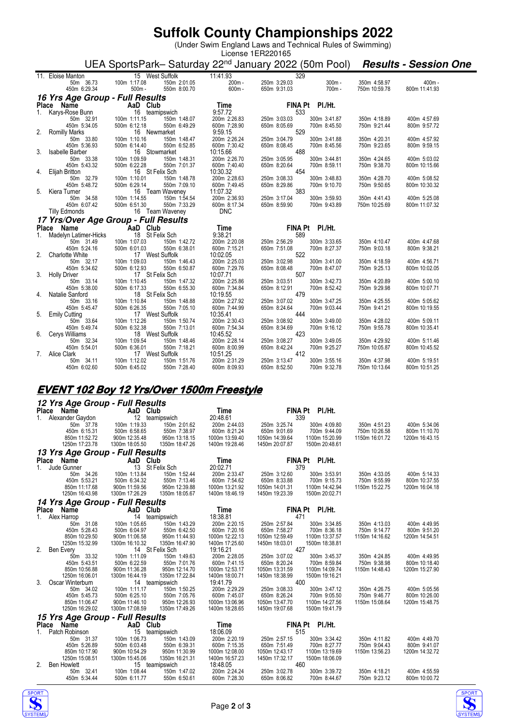# **Suffolk County Championships 2022**

(Under Swim England Laws and Technical Rules of Swimming)

#### License 1ER220165 UEA SportsPark– Saturday 22<sup>nd</sup> January 2022 (50m Pool) **Results - Session One**

| Vanton 15 V<br>50m 36.73 100m 1:17.08<br>50m 6:29.34 500m -<br>11. Eloise Manton                      |                                                | 15 West Suffolk                                                           | 11:41.93                 | 329                 |                 |               |               |
|-------------------------------------------------------------------------------------------------------|------------------------------------------------|---------------------------------------------------------------------------|--------------------------|---------------------|-----------------|---------------|---------------|
|                                                                                                       |                                                | $30000$<br>150m 2:01.05<br>550m 8:00.70                                   | 200m -                   | 250m 3:29.03        | $300m -$        | 350m 4:58.97  | $400m -$      |
| 450m 6:29.34                                                                                          | $500m -$                                       |                                                                           | $600m -$                 | 650m 9:31.03        | 700m-           | 750m 10:59.78 | 800m 11:41.93 |
|                                                                                                       |                                                |                                                                           |                          |                     |                 |               |               |
| 16 Yrs Age Group - Full Results                                                                       |                                                |                                                                           |                          |                     |                 |               |               |
| Place Name<br>1. Karys-Rose Bunn<br>50m 32.91 100m 1:11.15 150m 1<br>450m 5:34.05 500m 6:12.18 550m 6 |                                                |                                                                           | $Time$ FI<br>9.57.72     |                     | FINA Pt PI./Ht. |               |               |
|                                                                                                       |                                                |                                                                           |                          | 533                 |                 |               |               |
|                                                                                                       |                                                | 150m 1:48.07                                                              | 200m 2:26.83             | 250m 3:03.03        | 300m 3:41.87    | 350m 4:18.89  | 400m 4:57.69  |
|                                                                                                       |                                                | 550m 6:49.29                                                              | 600m 7:28.90             | 650m 8:05.69        | 700m 8:45.50    | 750m 9:21.44  | 800m 9:57.72  |
| 2. Romilly Marks                                                                                      | 100m 1:10.16<br>FOOm 6:14.40                   | 16 Newmarket                                                              | 9:59.15                  | 529                 |                 |               |               |
| 50m 33.80                                                                                             |                                                | 150m 1:48.47                                                              | 200m 2:26.24             | 250m 3:04.79        | 300m 3:41.88    | 350m 4:20.31  | 400m 4:57.92  |
| 450m 5:36.93                                                                                          |                                                | 550m 6:52.85                                                              | 600m 7:30.42             | 650m 8:08.45<br>488 | 700m 8:45.56    | 750m 9:23.65  | 800m 9:59.15  |
| 3. Isabelle Barber                                                                                    | 16 Stowmarket                                  |                                                                           | 10:15.66                 |                     |                 |               |               |
| 50m 33.38                                                                                             | 100m 1:09.59                                   | 150m 1:48.31                                                              | 200m 2:26.70             | 250m 3:05.95        | 300m 3:44.81    | 350m 4:24.65  | 400m 5:03.02  |
| 450m 5:43.32                                                                                          | 500m 6:22.28                                   | 550m 7:01.37<br>16 St Felix Sch                                           | 600m 7:40.40<br>10:30.32 | 650m 8:20.64<br>454 | 700m 8:59.11    | 750m 9:38.70  | 800m 10:15.66 |
| 4. Elijah Britton<br>50m 32.79                                                                        |                                                | 150m 1:48.78                                                              | 200m 2:28.63             | 250m 3:08.33        | 300m 3:48.83    | 350m 4:28.70  | 400m 5:08.52  |
| 450m 5:48.72                                                                                          | $100m$ 1:10.01<br>500m 6:29.14<br>500m 6:29.14 | 550m 7:09.10                                                              | 600m 7:49.45             | 650m 8:29.86        | 700m 9:10.70    | 750m 9:50.65  | 800m 10:30.32 |
| 5. Kiera Turner                                                                                       |                                                |                                                                           | 11:07.32                 | 383                 |                 |               |               |
| 50m 34.58                                                                                             |                                                |                                                                           | 200m 2:36.93             | 250m 3:17.04        | 300m 3:59.93    | 350m 4:41.43  | 400m 5:25.08  |
| 450m 6:07.42                                                                                          |                                                | 16 Team Waveney<br>100m 1:14.55 150m 1:54.54<br>500m 6:51.30 550m 7:33.29 | 600m 8:17.34             | 650m 8:59.90        | 700m 9:43.89    | 750m 10:25.69 | 800m 11:07.32 |
| <b>Tilly Edmonds</b>                                                                                  |                                                | 16 Team Waveney                                                           | <b>DNC</b>               |                     |                 |               |               |
|                                                                                                       |                                                |                                                                           |                          |                     |                 |               |               |
| 17 Yrs/Over Age Group - Full Results                                                                  |                                                |                                                                           | dits<br>Time<br>9:38.21  |                     |                 |               |               |
| <b>Place Name</b><br>1. Madelyn Latimer-Hicks<br>18 St Felix Sch                                      |                                                |                                                                           |                          |                     | FINA Pt PI./Ht. |               |               |
|                                                                                                       |                                                | 1.4272                                                                    |                          | 589                 |                 |               |               |
| 50m 31.49                                                                                             | 100m 1:07.03                                   | 150m 1:42.72                                                              | 200m 2:20.08             | 250m 2:56.29        | 300m 3:33.65    | 350m 4:10.47  | 400m 4:47.68  |
| 450m 5:24.16                                                                                          | 500m 6:01.03                                   | 550m 6:38.01                                                              | 600m 7:15.21             | 650m 7:51.08        | 700m 8:27.37    | 750m 9:03.18  | 800m 9:38.21  |
| 2. Charlotte White 17 West Suffolk<br>50m 32.17 100m 1:09.03 150m                                     |                                                |                                                                           | 10:02.05                 | 522                 |                 |               |               |
|                                                                                                       | 500m 6:12.93                                   | 150m 1:46.43                                                              | 200m 2:25.03             | 250m 3:02.98        | 300m 3:41.00    | 350m 4:18.59  |               |
| 450m 5:34.62                                                                                          |                                                |                                                                           |                          |                     |                 |               | 400m 4:56.71  |
|                                                                                                       |                                                | 550m 6:50.87                                                              | 600m 7:29.76             | 650m 8:08.48        | 700m 8:47.07    | 750m 9:25.13  | 800m 10:02.05 |
| 3. Holly Driver                                                                                       |                                                | 17 St Felix Sch                                                           | 10:07.71                 | 507                 |                 |               |               |
| 50m 33.14                                                                                             | 100m 1:10.45                                   | 150m 1:47.32                                                              | 200m 2:25.86             | 250m 3:03.51        | 300m 3:42.73    | 350m 4:20.89  | 400m 5:00.10  |
| 450m 5:38.00                                                                                          | 500m 6:17.33                                   | 550m 6:55.30                                                              | 600m 7:34.84             | 650m 8:12.91        | 700m 8:52.42    | 750m 9:29.98  | 800m 10:07.71 |
| 4. Natalie Sanford                                                                                    | 18 St Felix Sch                                |                                                                           | 10:19.55                 | 479                 |                 |               |               |
| 50m 33.16                                                                                             | 100m 1:10.84                                   | 150m 1:48.88                                                              | 200m 2:27.92             | 250m 3:07.02        | 300m 3:47.25    | 350m 4:25.55  | 400m 5:05.62  |
| 450m 5:45.47                                                                                          | 500m 6:26.35                                   | 550m 7:05.10                                                              | 600m 7:44.99             | 650m 8:24.64        | 700m 9:03.44    | 750m 9:41.21  | 800m 10:19.55 |
| 5. Emily Cutting                                                                                      |                                                | 17 West Suffolk                                                           | 10:35.41                 | 444                 |                 |               |               |
| 50m 33.64                                                                                             | 100m 1:12.26                                   | 150m 1:50.74                                                              | 200m 2:30.43             | 250m 3:08.92        | 300m 3:49.00    | 350m 4:28.02  | 400m 5:09.11  |
| 450m 5:49.74                                                                                          | 500m 6:32.38                                   | 550m 7:13.01                                                              | 600m 7:54.34             | 650m 8:34.69        | 700m 9:16.12    | 750m 9:55.78  | 800m 10:35.41 |
| 6. Cerys Williams                                                                                     |                                                | 18 West Suffolk                                                           | 10:45.52                 | 423                 |                 |               |               |
| 50m 32.34                                                                                             | 100m 1:09.54                                   | 150m 1:48.46                                                              | 200m 2:28.14             | 250m 3:08.27        | 300m 3:49.05    | 350m 4:29.92  | 400m 5:11.46  |
| 450m 5:54.01                                                                                          | 500m 6:36.01                                   | 550m 7:18.21                                                              | 600m 8:00.99             | 650m 8:42.24        | 700m 9:25.27    | 750m 10:05.87 | 800m 10:45.52 |
| 7. Alice Clark<br>50m 34.11                                                                           | 100m 1:12.02                                   | 17 West Suffolk<br>150m 1:51.76                                           | 10:51.25<br>200m 2:31.29 | 412<br>250m 3:13.47 | 300m 3:55.16    | 350m 4:37.98  | 400m 5:19.51  |

### **EVENT 102 Boy 12 Yrs/Over 1500m Freestyle**

### **12 Yrs Age Group - Full Results**

| Place Name                     | iz is Age droup - i un nesuns<br>AaD Club | <b>Time</b>    |                | FINA Pt PI./Ht. |                |                |
|--------------------------------|-------------------------------------------|----------------|----------------|-----------------|----------------|----------------|
| 1.<br>Alexander Gaydon         | 12 teamipswich                            | 20:48.61       |                | 339             |                |                |
| 50m 37.78                      | 100m 1:19.33<br>150m 2:01.62              | 200m 2:44.03   | 250m 3:25.74   | 300m 4:09.80    | 350m 4:51.23   | 400m 5:34.06   |
| 450m 6:15.31                   | 500m 6:58.65<br>550m 7:38.97              | 600m 8:21.24   | 650m 9:01.69   | 700m 9:44.09    | 750m 10:26.58  | 800m 11:10.70  |
| 850m 11:52.72                  | 950m 13:18.15<br>900m 12:35.48            | 1000m 13:59.40 | 1050m 14:39.64 | 1100m 15:20.99  | 1150m 16:01.72 | 1200m 16:43.15 |
| 1250m 17:23.78                 | 1300m 18:05.50<br>1350m 18:47.26          | 1400m 19:28.46 | 1450m 20:07.87 | 1500m 20:48.61  |                |                |
|                                | 13 Yrs Age Group - Full Results           |                |                |                 |                |                |
| Place<br>Name                  | AaD Club                                  | Time           |                | FINA Pt PI./Ht. |                |                |
| 1 <sup>1</sup><br>Jude Gunner  | 13 St Felix Sch                           | 20:02.71       |                | 379             |                |                |
| 50m 34.26                      | 100m 1:13.84<br>150m 1:52.44              | 200m 2:33.47   | 250m 3:12.60   | 300m 3:53.91    | 350m 4:33.05   | 400m 5:14.33   |
| 450m 5:53.21                   | 500m 6:34.32<br>550m 7:13.46              | 600m 7:54.62   | 650m 8:33.88   | 700m 9:15.73    | 750m 9:55.99   | 800m 10:37.55  |
| 850m 11:17.68                  | 900m 11:59.56<br>950m 12:39.88            | 1000m 13:21.92 | 1050m 14:01.31 | 1100m 14:42.94  | 1150m 15:22.75 | 1200m 16:04.18 |
| 1250m 16:43.98                 | 1300m 17:26.29<br>1350m 18:05.67          | 1400m 18:46.19 | 1450m 19:23.39 | 1500m 20:02.71  |                |                |
|                                | 14 Yrs Age Group - Full Results           |                |                |                 |                |                |
| Place Name                     | AaD Club                                  | Time           |                | FINA Pt PI./Ht. |                |                |
| Alex Harrop<br>1.              | 14 teamipswich                            | 18:38.81       |                | 471             |                |                |
| 50m 31.08                      | 100m 1:05.65<br>150m 1:43.29              | 200m 2:20.15   | 250m 2:57.84   | 300m 3:34.85    | 350m 4:13.03   | 400m 4:49.95   |
| 450m 5:28.43                   | 550m 6:42.50<br>500m 6:04.97              | 600m 7:20.16   | 650m 7:58.27   | 700m 8:36.18    | 750m 9:14.77   | 800m 9:51.20   |
| 850m 10:29.50                  | 900m 11:06.58<br>950m 11:44.93            | 1000m 12:22.13 | 1050m 12:59.49 | 1100m 13:37.57  | 1150m 14:16.62 | 1200m 14:54.51 |
| 1250m 15:32.99                 | 1300m 16:10.32<br>1350m 16:47.90          | 1400m 17:25.60 | 1450m 18:03.01 | 1500m 18:38.81  |                |                |
| 2.<br>Ben Every                | 14 St Felix Sch                           | 19:16.21       | 427            |                 |                |                |
| 50m 33.32                      | 100m 1:11.09<br>150m 1:49.63              | 200m 2:28.05   | 250m 3:07.02   | 300m 3:45.37    | 350m 4:24.85   | 400m 4:49.95   |
| 450m 5:43.51                   | 500m 6:22.59<br>550m 7:01.76              | 600m 7:41.15   | 650m 8:20.24   | 700m 8:59.84    | 750m 9:38.98   | 800m 10:18.40  |
| 850m 10:56.88                  | 900m 11:36.28<br>950m 12:14.70            | 1000m 12:53.17 | 1050m 13:31.59 | 1100m 14:09.74  | 1150m 14:48.43 | 1200m 15:27.90 |
| 1250m 16:06.01                 | 1300m 16:44.19<br>1350m 17:22.84          | 1400m 18:00.71 | 1450m 18:38.99 | 1500m 19:16.21  |                |                |
| 3.<br>Oscar Winterburn         | 14 teamipswich                            | 19:41.79       |                | 400             |                |                |
| 50m 34.02                      | 100m 1:11.17<br>150m 1:50.25              | 200m 2:29.29   | 250m 3:08.33   | 300m 3:47.12    | 350m 4:26.75   | 400m 5:05.56   |
| 450m 5:45.73                   | 500m 6:25.10<br>550m 7:05.76              | 600m 7:45.07   | 650m 8:26.24   | 700m 9:05.50    | 750m 9:46.77   | 800m 10:26.00  |
| 850m 11:06.47                  | 900m 11:46.10<br>950m 12:26.93            | 1000m 13:06.96 | 1050m 13:47.70 | 1100m 14:27.56  | 1150m 15:08.64 | 1200m 15:48.75 |
| 1250m 16:29.02                 | 1300m 17:08.59<br>1350m 17:49.26          | 1400m 18:28.65 | 1450m 19:07.68 | 1500m 19:41.79  |                |                |
|                                | 15 Yrs Age Group - Full Results           |                |                |                 |                |                |
| Place<br>Name                  | AaD Club                                  | Time           | <b>FINA Pt</b> | PI./Ht.         |                |                |
| Patch Robinson<br>$1_{\ldots}$ | 15 teamipswich                            | 18:06.09       |                | 515             |                |                |
| 50m 31.37                      | 100m 1:06.73<br>150m 1:43.09              | 200m 2:20.19   | 250m 2:57.15   | 300m 3:34.42    | 350m 4:11.82   | 400m 4:49.70   |
| 450m 5:26.89                   | 500m 6:03.48<br>550m 6:39.31              | 600m 7:15.35   | 650m 7:51.49   | 700m 8:27.77    | 750m 9:04.43   | 800m 9:41.07   |
| 850m 10:17.90                  | 900m 10:54.29<br>950m 11:30.99            | 1000m 12:08.00 | 1050m 12:43.17 | 1100m 13:19.69  | 1150m 13:56.23 | 1200m 14:32.72 |
| 1250m 15:08.51                 | 1350m 16:21.31<br>1300m 15:45.06          | 1400m 16:57.23 | 1450m 17:32.17 | 1500m 18:06.09  |                |                |
| 2.<br><b>Ben Howlett</b>       | 15 teamipswich                            | 18:48.05       |                | 460             |                |                |
| 50m 32.41                      | 100m 1:08.44<br>150m 1:47.02              | 200m 2:24.24   | 250m 3:02.78   | 300m 3:39.72    | 350m 4:18.21   | 400m 4:55.59   |
| 450m 5:34.44                   | 500m 6:11.77<br>550m 6:50.61              | 600m 7:28.30   | 650m 8:06.82   | 700m 8:44.67    | 750m 9:23.12   | 800m 10:00.72  |